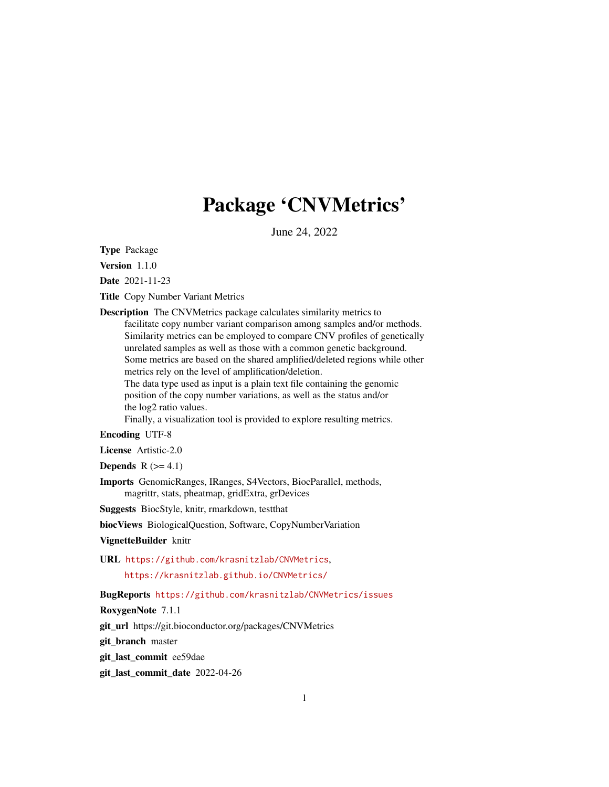## Package 'CNVMetrics'

June 24, 2022

<span id="page-0-0"></span>Type Package

Version 1.1.0

Date 2021-11-23

Title Copy Number Variant Metrics

Description The CNVMetrics package calculates similarity metrics to facilitate copy number variant comparison among samples and/or methods. Similarity metrics can be employed to compare CNV profiles of genetically unrelated samples as well as those with a common genetic background. Some metrics are based on the shared amplified/deleted regions while other metrics rely on the level of amplification/deletion.

The data type used as input is a plain text file containing the genomic position of the copy number variations, as well as the status and/or the log2 ratio values.

Finally, a visualization tool is provided to explore resulting metrics.

#### Encoding UTF-8

License Artistic-2.0

**Depends**  $R$  ( $>= 4.1$ )

Imports GenomicRanges, IRanges, S4Vectors, BiocParallel, methods, magrittr, stats, pheatmap, gridExtra, grDevices

Suggests BiocStyle, knitr, rmarkdown, testthat

biocViews BiologicalQuestion, Software, CopyNumberVariation

VignetteBuilder knitr

URL <https://github.com/krasnitzlab/CNVMetrics>,

<https://krasnitzlab.github.io/CNVMetrics/>

BugReports <https://github.com/krasnitzlab/CNVMetrics/issues>

RoxygenNote 7.1.1

git\_url https://git.bioconductor.org/packages/CNVMetrics

git\_branch master

git\_last\_commit ee59dae

git\_last\_commit\_date 2022-04-26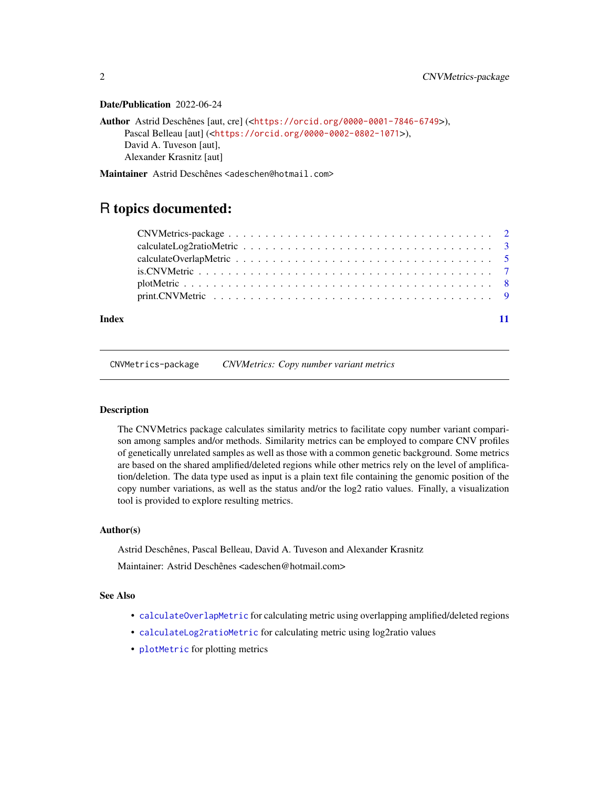#### Date/Publication 2022-06-24

```
Author Astrid Deschênes [aut, cre] (<https://orcid.org/0000-0001-7846-6749>),
     Pascal Belleau [aut] (<https://orcid.org/0000-0002-0802-1071>),
     David A. Tuveson [aut],
     Alexander Krasnitz [aut]
```
Maintainer Astrid Deschênes <adeschen@hotmail.com>

### R topics documented:

| Index |  |
|-------|--|

CNVMetrics-package *CNVMetrics: Copy number variant metrics*

#### **Description**

The CNVMetrics package calculates similarity metrics to facilitate copy number variant comparison among samples and/or methods. Similarity metrics can be employed to compare CNV profiles of genetically unrelated samples as well as those with a common genetic background. Some metrics are based on the shared amplified/deleted regions while other metrics rely on the level of amplification/deletion. The data type used as input is a plain text file containing the genomic position of the copy number variations, as well as the status and/or the log2 ratio values. Finally, a visualization tool is provided to explore resulting metrics.

#### Author(s)

Astrid Deschênes, Pascal Belleau, David A. Tuveson and Alexander Krasnitz Maintainer: Astrid Deschênes <adeschen@hotmail.com>

#### See Also

- [calculateOverlapMetric](#page-4-1) for calculating metric using overlapping amplified/deleted regions
- [calculateLog2ratioMetric](#page-2-1) for calculating metric using log2ratio values
- [plotMetric](#page-7-1) for plotting metrics

<span id="page-1-0"></span>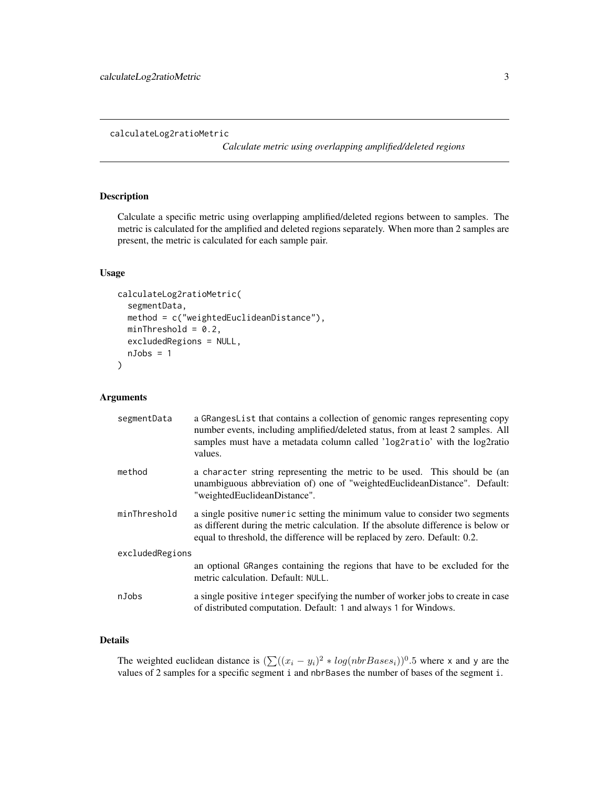#### <span id="page-2-1"></span><span id="page-2-0"></span>calculateLog2ratioMetric

*Calculate metric using overlapping amplified/deleted regions*

#### Description

Calculate a specific metric using overlapping amplified/deleted regions between to samples. The metric is calculated for the amplified and deleted regions separately. When more than 2 samples are present, the metric is calculated for each sample pair.

#### Usage

```
calculateLog2ratioMetric(
  segmentData,
  method = c("weightedEuclideanDistance"),
 minThreshold = 0.2,
  excludedRegions = NULL,
  nJobs = 1)
```
#### Arguments

| segmentData     | a GRangesList that contains a collection of genomic ranges representing copy<br>number events, including amplified/deleted status, from at least 2 samples. All<br>samples must have a metadata column called 'log2ratio' with the log2ratio<br>values. |  |  |
|-----------------|---------------------------------------------------------------------------------------------------------------------------------------------------------------------------------------------------------------------------------------------------------|--|--|
| method          | a character string representing the metric to be used. This should be (an<br>unambiguous abbreviation of) one of "weightedEuclideanDistance". Default:<br>"weightedEuclideanDistance".                                                                  |  |  |
| minThreshold    | a single positive numeric setting the minimum value to consider two segments<br>as different during the metric calculation. If the absolute difference is below or<br>equal to threshold, the difference will be replaced by zero. Default: 0.2.        |  |  |
| excludedRegions |                                                                                                                                                                                                                                                         |  |  |
|                 | an optional GRanges containing the regions that have to be excluded for the<br>metric calculation. Default: NULL.                                                                                                                                       |  |  |
| nJobs           | a single positive integer specifying the number of worker jobs to create in case<br>of distributed computation. Default: 1 and always 1 for Windows.                                                                                                    |  |  |

#### Details

The weighted euclidean distance is  $(\sum((x_i - y_i)^2 * log(nbrBases_i))^{0.5}$  where x and y are the values of 2 samples for a specific segment i and nbrBases the number of bases of the segment i.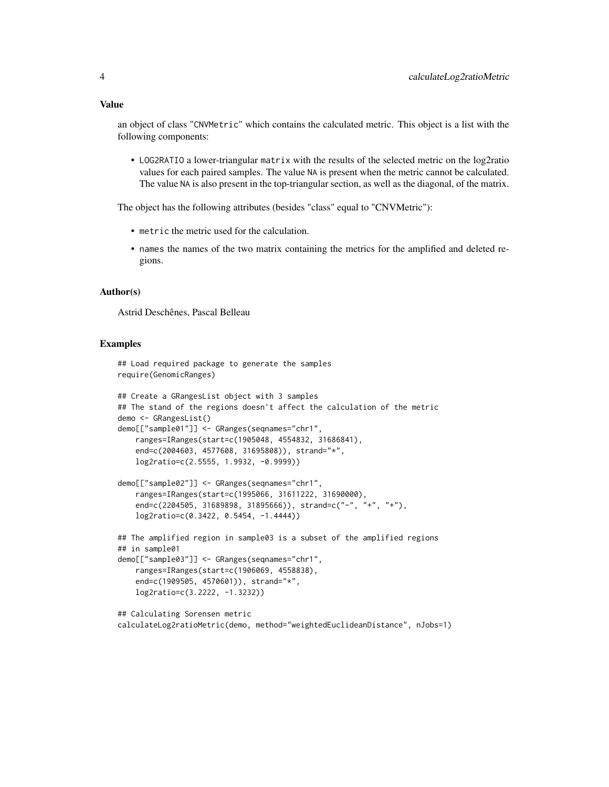an object of class "CNVMetric" which contains the calculated metric. This object is a list with the following components:

• LOG2RATIO a lower-triangular matrix with the results of the selected metric on the log2ratio values for each paired samples. The value NA is present when the metric cannot be calculated. The value NA is also present in the top-triangular section, as well as the diagonal, of the matrix.

The object has the following attributes (besides "class" equal to "CNVMetric"):

- metric the metric used for the calculation.
- names the names of the two matrix containing the metrics for the amplified and deleted regions.

#### Author(s)

Astrid Deschênes, Pascal Belleau

#### Examples

```
## Load required package to generate the samples
require(GenomicRanges)
## Create a GRangesList object with 3 samples
## The stand of the regions doesn't affect the calculation of the metric
demo <- GRangesList()
demo[["sample01"]] <- GRanges(seqnames="chr1",
    ranges=IRanges(start=c(1905048, 4554832, 31686841),
    end=c(2004603, 4577608, 31695808)), strand="*",
    log2ratio=c(2.5555, 1.9932, -0.9999))
demo[["sample02"]] <- GRanges(seqnames="chr1",
    ranges=IRanges(start=c(1995066, 31611222, 31690000),
    end=c(2204505, 31689898, 31895666)), strand=c("-", "+", "+"),
    log2ratio=c(0.3422, 0.5454, -1.4444))
## The amplified region in sample03 is a subset of the amplified regions
## in sample01
demo[["sample03"]] <- GRanges(seqnames="chr1",
    ranges=IRanges(start=c(1906069, 4558838),
    end=c(1909505, 4570601)), strand="*",
    log2ratio=c(3.2222, -1.3232))
## Calculating Sorensen metric
calculateLog2ratioMetric(demo, method="weightedEuclideanDistance", nJobs=1)
```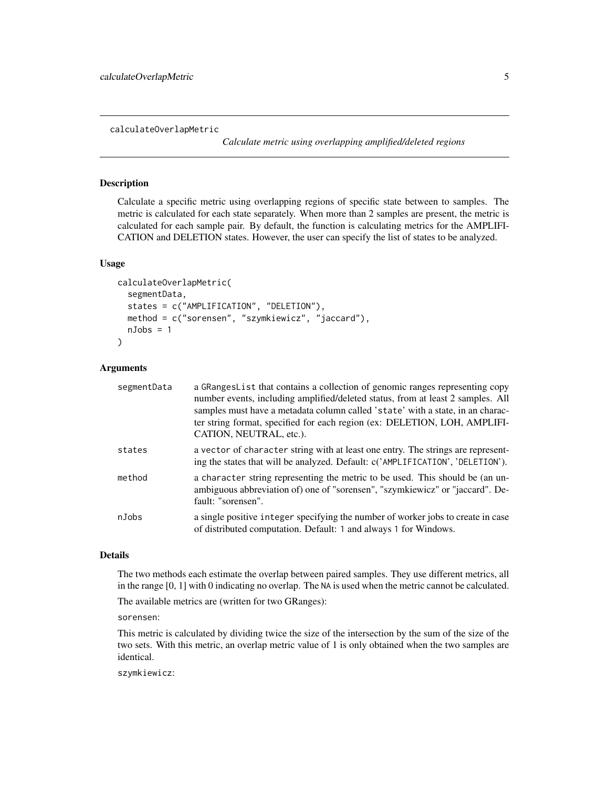<span id="page-4-1"></span><span id="page-4-0"></span>calculateOverlapMetric

*Calculate metric using overlapping amplified/deleted regions*

#### **Description**

Calculate a specific metric using overlapping regions of specific state between to samples. The metric is calculated for each state separately. When more than 2 samples are present, the metric is calculated for each sample pair. By default, the function is calculating metrics for the AMPLIFI-CATION and DELETION states. However, the user can specify the list of states to be analyzed.

#### Usage

```
calculateOverlapMetric(
  segmentData,
  states = c("AMPLIFICATION", "DELETION"),
 method = c("sorensen", "szymkiewicz", "jaccard"),
 nJobs = 1)
```
#### Arguments

| segmentData | a GRangesList that contains a collection of genomic ranges representing copy<br>number events, including amplified/deleted status, from at least 2 samples. All<br>samples must have a metadata column called 'state' with a state, in an charac-<br>ter string format, specified for each region (ex: DELETION, LOH, AMPLIFI-<br>CATION, NEUTRAL, etc.). |
|-------------|-----------------------------------------------------------------------------------------------------------------------------------------------------------------------------------------------------------------------------------------------------------------------------------------------------------------------------------------------------------|
| states      | a vector of character string with at least one entry. The strings are represent-<br>ing the states that will be analyzed. Default: c('AMPLIFICATION', 'DELETION').                                                                                                                                                                                        |
| method      | a character string representing the metric to be used. This should be (an un-<br>ambiguous abbreviation of) one of "sorensen", "szymkiewicz" or "jaccard". De-<br>fault: "sorensen".                                                                                                                                                                      |
| nJobs       | a single positive integer specifying the number of worker jobs to create in case<br>of distributed computation. Default: 1 and always 1 for Windows.                                                                                                                                                                                                      |

#### Details

The two methods each estimate the overlap between paired samples. They use different metrics, all in the range [0, 1] with 0 indicating no overlap. The NA is used when the metric cannot be calculated.

The available metrics are (written for two GRanges):

sorensen:

This metric is calculated by dividing twice the size of the intersection by the sum of the size of the two sets. With this metric, an overlap metric value of 1 is only obtained when the two samples are identical.

szymkiewicz: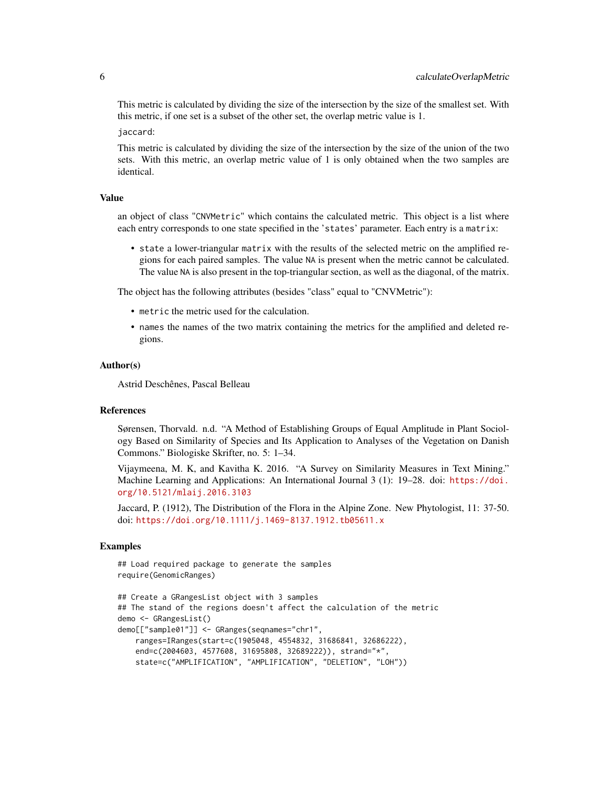This metric is calculated by dividing the size of the intersection by the size of the smallest set. With this metric, if one set is a subset of the other set, the overlap metric value is 1.

jaccard:

This metric is calculated by dividing the size of the intersection by the size of the union of the two sets. With this metric, an overlap metric value of 1 is only obtained when the two samples are identical.

#### Value

an object of class "CNVMetric" which contains the calculated metric. This object is a list where each entry corresponds to one state specified in the 'states' parameter. Each entry is a matrix:

• state a lower-triangular matrix with the results of the selected metric on the amplified regions for each paired samples. The value NA is present when the metric cannot be calculated. The value NA is also present in the top-triangular section, as well as the diagonal, of the matrix.

The object has the following attributes (besides "class" equal to "CNVMetric"):

- metric the metric used for the calculation.
- names the names of the two matrix containing the metrics for the amplified and deleted regions.

#### Author(s)

Astrid Deschênes, Pascal Belleau

#### References

Sørensen, Thorvald. n.d. "A Method of Establishing Groups of Equal Amplitude in Plant Sociology Based on Similarity of Species and Its Application to Analyses of the Vegetation on Danish Commons." Biologiske Skrifter, no. 5: 1–34.

Vijaymeena, M. K, and Kavitha K. 2016. "A Survey on Similarity Measures in Text Mining." Machine Learning and Applications: An International Journal 3 (1): 19–28. doi: [https://doi.](https://doi.org/10.5121/mlaij.2016.3103) [org/10.5121/mlaij.2016.3103](https://doi.org/10.5121/mlaij.2016.3103)

Jaccard, P. (1912), The Distribution of the Flora in the Alpine Zone. New Phytologist, 11: 37-50. doi: <https://doi.org/10.1111/j.1469-8137.1912.tb05611.x>

#### Examples

## Load required package to generate the samples require(GenomicRanges)

```
## Create a GRangesList object with 3 samples
## The stand of the regions doesn't affect the calculation of the metric
demo <- GRangesList()
demo[["sample01"]] <- GRanges(seqnames="chr1",
   ranges=IRanges(start=c(1905048, 4554832, 31686841, 32686222),
   end=c(2004603, 4577608, 31695808, 32689222)), strand="*",
   state=c("AMPLIFICATION", "AMPLIFICATION", "DELETION", "LOH"))
```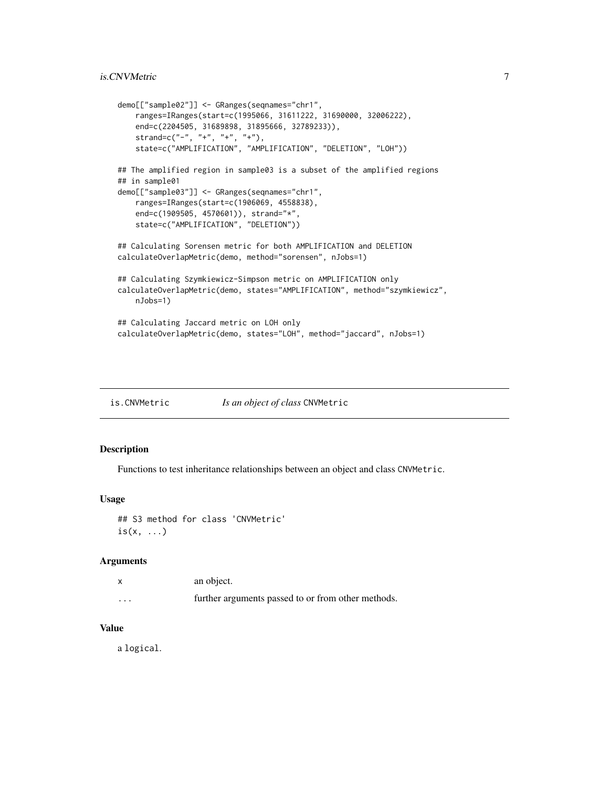#### <span id="page-6-0"></span>is.CNVMetric 7

```
demo[["sample02"]] <- GRanges(seqnames="chr1",
    ranges=IRanges(start=c(1995066, 31611222, 31690000, 32006222),
    end=c(2204505, 31689898, 31895666, 32789233)),
    strand=c("-", "+", "+", "+"),
    state=c("AMPLIFICATION", "AMPLIFICATION", "DELETION", "LOH"))
## The amplified region in sample03 is a subset of the amplified regions
## in sample01
demo[["sample03"]] <- GRanges(seqnames="chr1",
   ranges=IRanges(start=c(1906069, 4558838),
   end=c(1909505, 4570601)), strand="*",
   state=c("AMPLIFICATION", "DELETION"))
## Calculating Sorensen metric for both AMPLIFICATION and DELETION
calculateOverlapMetric(demo, method="sorensen", nJobs=1)
## Calculating Szymkiewicz-Simpson metric on AMPLIFICATION only
calculateOverlapMetric(demo, states="AMPLIFICATION", method="szymkiewicz",
   nJobs=1)
## Calculating Jaccard metric on LOH only
calculateOverlapMetric(demo, states="LOH", method="jaccard", nJobs=1)
```
is.CNVMetric *Is an object of class* CNVMetric

#### Description

Functions to test inheritance relationships between an object and class CNVMetric.

#### Usage

## S3 method for class 'CNVMetric'  $is(x, \ldots)$ 

#### Arguments

|          | an object.                                         |
|----------|----------------------------------------------------|
| $\cdots$ | further arguments passed to or from other methods. |

#### Value

a logical.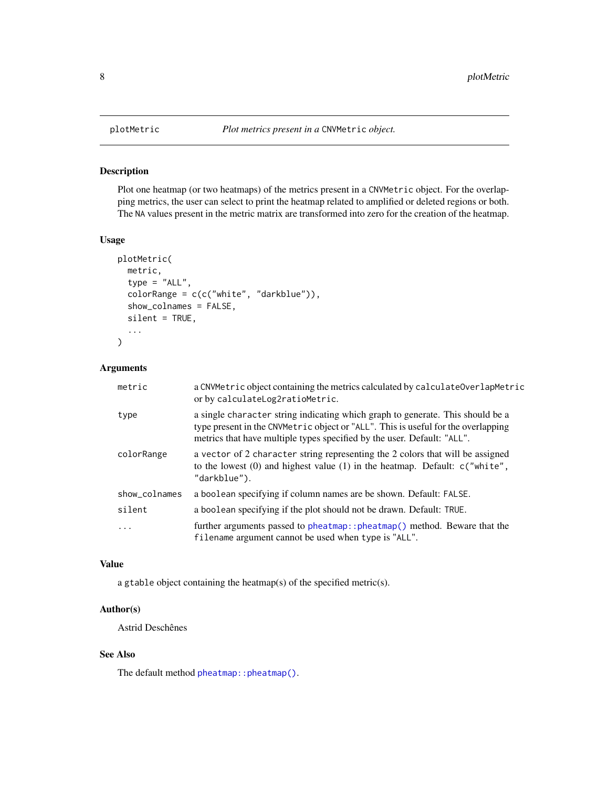#### Description

Plot one heatmap (or two heatmaps) of the metrics present in a CNVMetric object. For the overlapping metrics, the user can select to print the heatmap related to amplified or deleted regions or both. The NA values present in the metric matrix are transformed into zero for the creation of the heatmap.

#### Usage

```
plotMetric(
 metric,
  type = "ALL",
  colorRange = c(c("white", "darkblue")),
  show_colnames = FALSE,
  silent = TRUE,
  ...
)
```
#### Arguments

| metric        | a CNVMetric object containing the metrics calculated by calculateOverlapMetric<br>or by calculateLog2ratioMetric.                                                                                                                              |
|---------------|------------------------------------------------------------------------------------------------------------------------------------------------------------------------------------------------------------------------------------------------|
| type          | a single character string indicating which graph to generate. This should be a<br>type present in the CNVMetric object or "ALL". This is useful for the overlapping<br>metrics that have multiple types specified by the user. Default: "ALL". |
| colorRange    | a vector of 2 character string representing the 2 colors that will be assigned<br>to the lowest $(0)$ and highest value $(1)$ in the heatmap. Default: $c("white",$<br>"darkblue").                                                            |
| show_colnames | a boolean specifying if column names are be shown. Default: FALSE.                                                                                                                                                                             |
| silent        | a boolean specifying if the plot should not be drawn. Default: TRUE.                                                                                                                                                                           |
| .             | further arguments passed to pheatmap:: pheatmap() method. Beware that the<br>filename argument cannot be used when type is "ALL".                                                                                                              |

#### Value

a gtable object containing the heatmap(s) of the specified metric(s).

#### Author(s)

Astrid Deschênes

#### See Also

The default method [pheatmap::pheatmap\(\)](#page-0-0).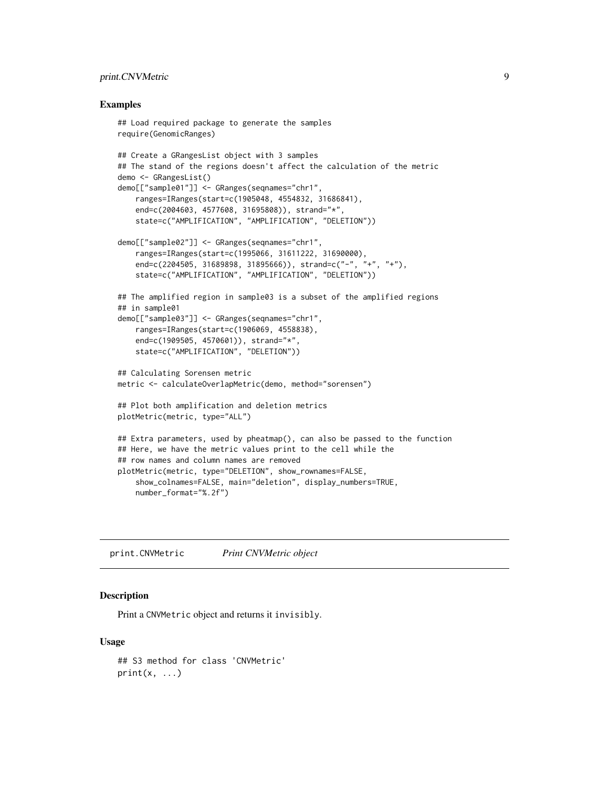#### <span id="page-8-0"></span>print.CNVMetric 9

#### Examples

```
## Load required package to generate the samples
require(GenomicRanges)
## Create a GRangesList object with 3 samples
## The stand of the regions doesn't affect the calculation of the metric
demo <- GRangesList()
demo[["sample01"]] <- GRanges(seqnames="chr1",
    ranges=IRanges(start=c(1905048, 4554832, 31686841),
    end=c(2004603, 4577608, 31695808)), strand="*",
    state=c("AMPLIFICATION", "AMPLIFICATION", "DELETION"))
demo[["sample02"]] <- GRanges(seqnames="chr1",
    ranges=IRanges(start=c(1995066, 31611222, 31690000),
    end=c(2204505, 31689898, 31895666)), strand=c("-", "+", "+"),
    state=c("AMPLIFICATION", "AMPLIFICATION", "DELETION"))
## The amplified region in sample03 is a subset of the amplified regions
## in sample01
demo[["sample03"]] <- GRanges(seqnames="chr1",
    ranges=IRanges(start=c(1906069, 4558838),
    end=c(1909505, 4570601)), strand="*",
    state=c("AMPLIFICATION", "DELETION"))
## Calculating Sorensen metric
metric <- calculateOverlapMetric(demo, method="sorensen")
## Plot both amplification and deletion metrics
plotMetric(metric, type="ALL")
## Extra parameters, used by pheatmap(), can also be passed to the function
## Here, we have the metric values print to the cell while the
## row names and column names are removed
plotMetric(metric, type="DELETION", show_rownames=FALSE,
    show_colnames=FALSE, main="deletion", display_numbers=TRUE,
    number_format="%.2f")
```
print.CNVMetric *Print CNVMetric object*

#### Description

Print a CNVMetric object and returns it invisibly.

#### Usage

```
## S3 method for class 'CNVMetric'
print(x, \ldots)
```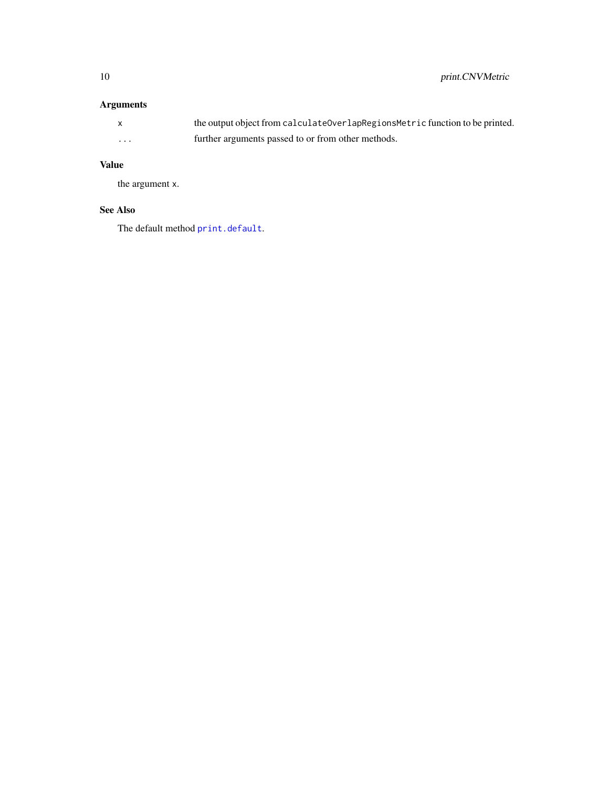#### <span id="page-9-0"></span>Arguments

|          | the output object from calculateOverlapRegionsMetric function to be printed. |
|----------|------------------------------------------------------------------------------|
| $\cdots$ | further arguments passed to or from other methods.                           |

#### Value

the argument x.

#### See Also

The default method [print.default](#page-0-0).